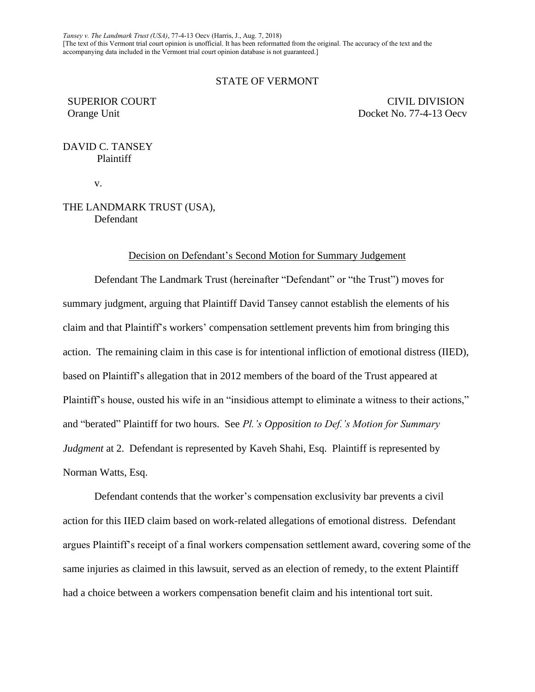*Tansey v. The Landmark Trust (USA)*, 77-4-13 Oecv (Harris, J., Aug. 7, 2018) [The text of this Vermont trial court opinion is unofficial. It has been reformatted from the original. The accuracy of the text and the accompanying data included in the Vermont trial court opinion database is not guaranteed.]

# STATE OF VERMONT

SUPERIOR COURT CIVIL DIVISION Orange Unit Docket No. 77-4-13 Oecv

# DAVID C. TANSEY Plaintiff

v.

# THE LANDMARK TRUST (USA), Defendant

# Decision on Defendant's Second Motion for Summary Judgement

Defendant The Landmark Trust (hereinafter "Defendant" or "the Trust") moves for summary judgment, arguing that Plaintiff David Tansey cannot establish the elements of his claim and that Plaintiff's workers' compensation settlement prevents him from bringing this action. The remaining claim in this case is for intentional infliction of emotional distress (IIED), based on Plaintiff's allegation that in 2012 members of the board of the Trust appeared at Plaintiff's house, ousted his wife in an "insidious attempt to eliminate a witness to their actions," and "berated" Plaintiff for two hours. See *Pl.'s Opposition to Def.'s Motion for Summary Judgment* at 2. Defendant is represented by Kaveh Shahi, Esq. Plaintiff is represented by Norman Watts, Esq.

Defendant contends that the worker's compensation exclusivity bar prevents a civil action for this IIED claim based on work-related allegations of emotional distress. Defendant argues Plaintiff's receipt of a final workers compensation settlement award, covering some of the same injuries as claimed in this lawsuit, served as an election of remedy, to the extent Plaintiff had a choice between a workers compensation benefit claim and his intentional tort suit.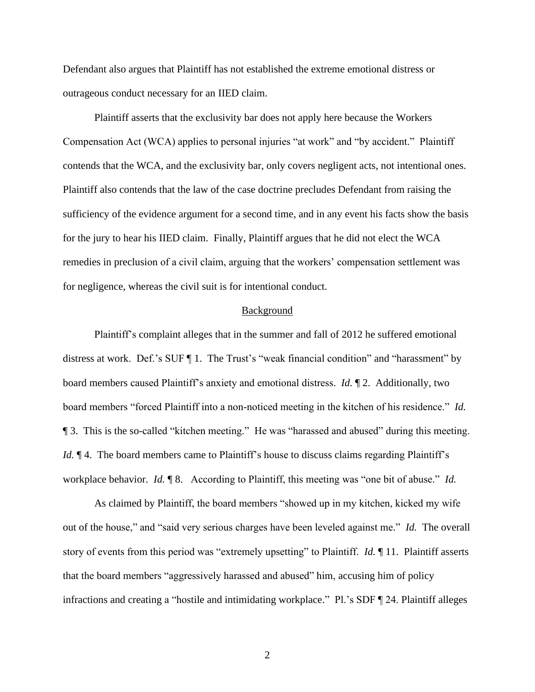Defendant also argues that Plaintiff has not established the extreme emotional distress or outrageous conduct necessary for an IIED claim.

Plaintiff asserts that the exclusivity bar does not apply here because the Workers Compensation Act (WCA) applies to personal injuries "at work" and "by accident." Plaintiff contends that the WCA, and the exclusivity bar, only covers negligent acts, not intentional ones. Plaintiff also contends that the law of the case doctrine precludes Defendant from raising the sufficiency of the evidence argument for a second time, and in any event his facts show the basis for the jury to hear his IIED claim. Finally, Plaintiff argues that he did not elect the WCA remedies in preclusion of a civil claim, arguing that the workers' compensation settlement was for negligence, whereas the civil suit is for intentional conduct.

#### Background

Plaintiff's complaint alleges that in the summer and fall of 2012 he suffered emotional distress at work. Def.'s SUF ¶ 1. The Trust's "weak financial condition" and "harassment" by board members caused Plaintiff's anxiety and emotional distress. *Id.* ¶ 2. Additionally, two board members "forced Plaintiff into a non-noticed meeting in the kitchen of his residence." *Id.* ¶ 3. This is the so-called "kitchen meeting." He was "harassed and abused" during this meeting. *Id.*  $\mathbb{I}$  4. The board members came to Plaintiff's house to discuss claims regarding Plaintiff's workplace behavior. *Id.* ¶ 8. According to Plaintiff, this meeting was "one bit of abuse." *Id.*

As claimed by Plaintiff, the board members "showed up in my kitchen, kicked my wife out of the house," and "said very serious charges have been leveled against me." *Id.* The overall story of events from this period was "extremely upsetting" to Plaintiff. *Id.* ¶ 11. Plaintiff asserts that the board members "aggressively harassed and abused" him, accusing him of policy infractions and creating a "hostile and intimidating workplace." Pl.'s SDF ¶ 24. Plaintiff alleges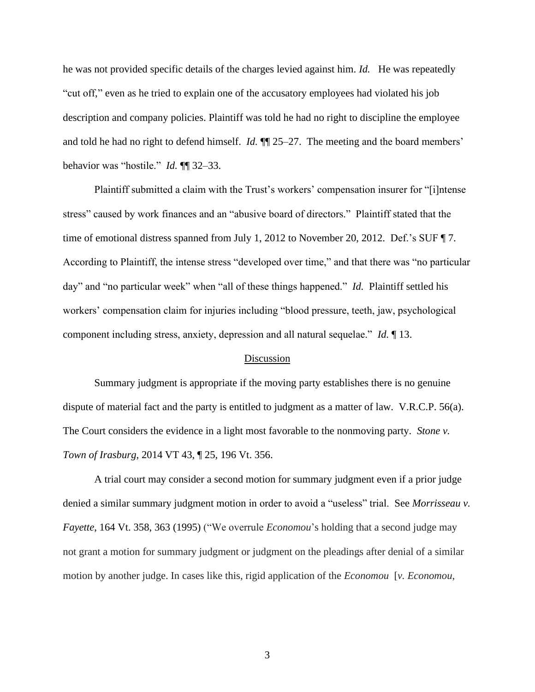he was not provided specific details of the charges levied against him. *Id.* He was repeatedly "cut off," even as he tried to explain one of the accusatory employees had violated his job description and company policies. Plaintiff was told he had no right to discipline the employee and told he had no right to defend himself. *Id.* ¶¶ 25–27. The meeting and the board members' behavior was "hostile." *Id.* ¶¶ 32–33.

Plaintiff submitted a claim with the Trust's workers' compensation insurer for "[i]ntense stress" caused by work finances and an "abusive board of directors." Plaintiff stated that the time of emotional distress spanned from July 1, 2012 to November 20, 2012. Def.'s SUF ¶ 7. According to Plaintiff, the intense stress "developed over time," and that there was "no particular day" and "no particular week" when "all of these things happened." *Id.* Plaintiff settled his workers' compensation claim for injuries including "blood pressure, teeth, jaw, psychological component including stress, anxiety, depression and all natural sequelae." *Id.* ¶ 13.

### Discussion

Summary judgment is appropriate if the moving party establishes there is no genuine dispute of material fact and the party is entitled to judgment as a matter of law. V.R.C.P. 56(a). The Court considers the evidence in a light most favorable to the nonmoving party. *Stone v. Town of Irasburg*, 2014 VT 43, ¶ 25, 196 Vt. 356.

A trial court may consider a second motion for summary judgment even if a prior judge denied a similar summary judgment motion in order to avoid a "useless" trial. See *Morrisseau v. Fayette*, 164 Vt. 358, 363 (1995) ("We overrule *Economou*'s holding that a second judge may not grant a motion for summary judgment or judgment on the pleadings after denial of a similar motion by another judge. In cases like this, rigid application of the *Economou* [*v. Economou*,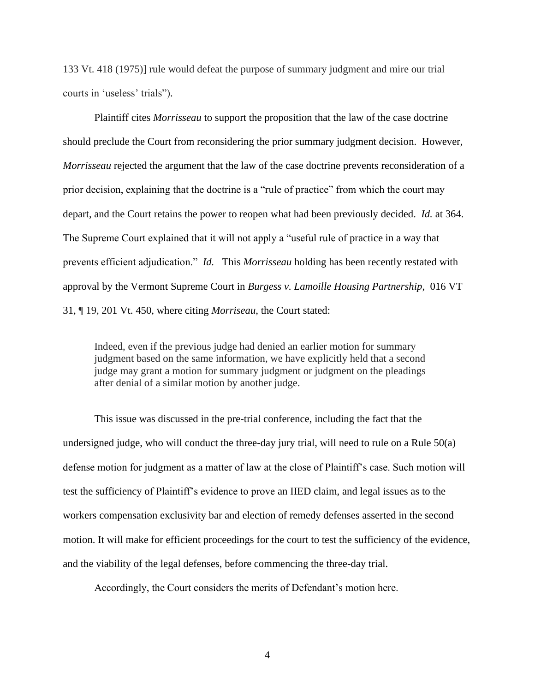133 Vt. 418 (1975)] rule would defeat the purpose of summary judgment and mire our trial courts in 'useless' trials").

Plaintiff cites *Morrisseau* to support the proposition that the law of the case doctrine should preclude the Court from reconsidering the prior summary judgment decision. However, *Morrisseau* rejected the argument that the law of the case doctrine prevents reconsideration of a prior decision, explaining that the doctrine is a "rule of practice" from which the court may depart, and the Court retains the power to reopen what had been previously decided. *Id.* at 364. The Supreme Court explained that it will not apply a "useful rule of practice in a way that prevents efficient adjudication." *Id.* This *Morrisseau* holding has been recently restated with approval by the Vermont Supreme Court in *Burgess v. Lamoille Housing Partnership*, 016 VT 31, ¶ 19, 201 Vt. 450, where citing *Morriseau*, the Court stated:

Indeed, even if the previous judge had denied an earlier motion for summary judgment based on the same information, we have explicitly held that a second judge may grant a motion for summary judgment or judgment on the pleadings after denial of a similar motion by another judge.

This issue was discussed in the pre-trial conference, including the fact that the undersigned judge, who will conduct the three-day jury trial, will need to rule on a Rule 50(a) defense motion for judgment as a matter of law at the close of Plaintiff's case. Such motion will test the sufficiency of Plaintiff's evidence to prove an IIED claim, and legal issues as to the workers compensation exclusivity bar and election of remedy defenses asserted in the second motion. It will make for efficient proceedings for the court to test the sufficiency of the evidence, and the viability of the legal defenses, before commencing the three-day trial.

Accordingly, the Court considers the merits of Defendant's motion here.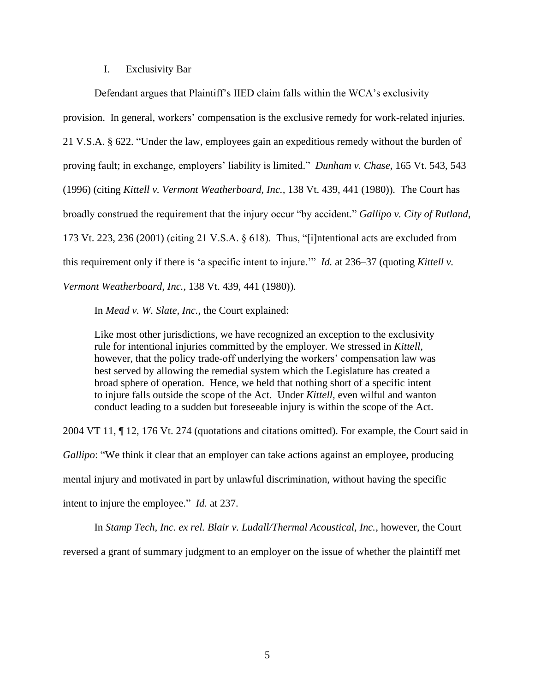# I. Exclusivity Bar

Defendant argues that Plaintiff's IIED claim falls within the WCA's exclusivity provision. In general, workers' compensation is the exclusive remedy for work-related injuries. 21 V.S.A. § 622. "Under the law, employees gain an expeditious remedy without the burden of proving fault; in exchange, employers' liability is limited." *Dunham v. Chase*, 165 Vt. 543, 543 (1996) (citing *Kittell v. Vermont Weatherboard, Inc.,* 138 Vt. 439, 441 (1980)). The Court has broadly construed the requirement that the injury occur "by accident." *Gallipo v. City of Rutland*, 173 Vt. 223, 236 (2001) (citing 21 V.S.A. § 618). Thus, "[i]ntentional acts are excluded from this requirement only if there is 'a specific intent to injure.'" *Id.* at 236–37 (quoting *Kittell v. Vermont Weatherboard, Inc.,* 138 Vt. 439, 441 (1980)).

In *Mead v. W. Slate, Inc.*, the Court explained:

Like most other jurisdictions, we have recognized an exception to the exclusivity rule for intentional injuries committed by the employer. We stressed in *Kittell,* however, that the policy trade-off underlying the workers' compensation law was best served by allowing the remedial system which the Legislature has created a broad sphere of operation. Hence, we held that nothing short of a specific intent to injure falls outside the scope of the Act. Under *Kittell,* even wilful and wanton conduct leading to a sudden but foreseeable injury is within the scope of the Act.

2004 VT 11, ¶ 12, 176 Vt. 274 (quotations and citations omitted). For example, the Court said in *Gallipo*: "We think it clear that an employer can take actions against an employee, producing mental injury and motivated in part by unlawful discrimination, without having the specific intent to injure the employee." *Id.* at 237.

In *Stamp Tech, Inc. ex rel. Blair v. Ludall/Thermal Acoustical, Inc.*, however, the Court reversed a grant of summary judgment to an employer on the issue of whether the plaintiff met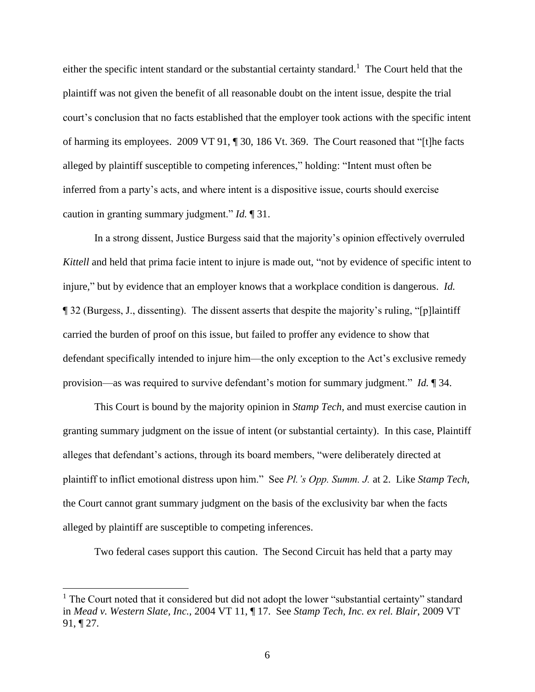either the specific intent standard or the substantial certainty standard.<sup>1</sup> The Court held that the plaintiff was not given the benefit of all reasonable doubt on the intent issue, despite the trial court's conclusion that no facts established that the employer took actions with the specific intent of harming its employees. 2009 VT 91, ¶ 30, 186 Vt. 369. The Court reasoned that "[t]he facts alleged by plaintiff susceptible to competing inferences," holding: "Intent must often be inferred from a party's acts, and where intent is a dispositive issue, courts should exercise caution in granting summary judgment." *Id.* ¶ 31.

In a strong dissent, Justice Burgess said that the majority's opinion effectively overruled *Kittell* and held that prima facie intent to injure is made out, "not by evidence of specific intent to injure," but by evidence that an employer knows that a workplace condition is dangerous. *Id.* ¶ 32 (Burgess, J., dissenting). The dissent asserts that despite the majority's ruling, "[p]laintiff carried the burden of proof on this issue, but failed to proffer any evidence to show that defendant specifically intended to injure him—the only exception to the Act's exclusive remedy provision—as was required to survive defendant's motion for summary judgment." *Id.* ¶ 34.

This Court is bound by the majority opinion in *Stamp Tech*, and must exercise caution in granting summary judgment on the issue of intent (or substantial certainty). In this case, Plaintiff alleges that defendant's actions, through its board members, "were deliberately directed at plaintiff to inflict emotional distress upon him." See *Pl.'s Opp. Summ. J.* at 2. Like *Stamp Tech*, the Court cannot grant summary judgment on the basis of the exclusivity bar when the facts alleged by plaintiff are susceptible to competing inferences.

Two federal cases support this caution. The Second Circuit has held that a party may

 $<sup>1</sup>$  The Court noted that it considered but did not adopt the lower "substantial certainty" standard</sup> in *Mead v. Western Slate, Inc.,* 2004 VT 11, ¶ 17. See *Stamp Tech, Inc. ex rel. Blair*, 2009 VT 91, ¶ 27.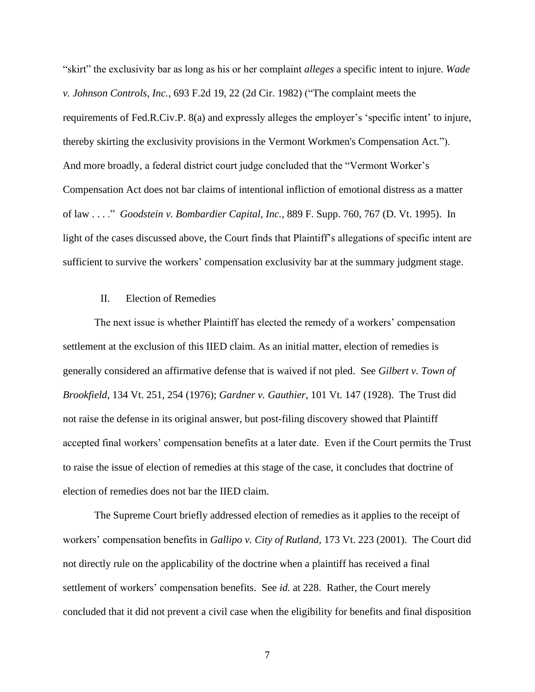"skirt" the exclusivity bar as long as his or her complaint *alleges* a specific intent to injure. *Wade v. Johnson Controls, Inc.*, 693 F.2d 19, 22 (2d Cir. 1982) ("The complaint meets the requirements of Fed.R.Civ.P. 8(a) and expressly alleges the employer's 'specific intent' to injure, thereby skirting the exclusivity provisions in the Vermont Workmen's Compensation Act."). And more broadly, a federal district court judge concluded that the "Vermont Worker's Compensation Act does not bar claims of intentional infliction of emotional distress as a matter of law . . . ." *Goodstein v. Bombardier Capital, Inc.*, 889 F. Supp. 760, 767 (D. Vt. 1995). In light of the cases discussed above, the Court finds that Plaintiff's allegations of specific intent are sufficient to survive the workers' compensation exclusivity bar at the summary judgment stage.

# II. Election of Remedies

The next issue is whether Plaintiff has elected the remedy of a workers' compensation settlement at the exclusion of this IIED claim. As an initial matter, election of remedies is generally considered an affirmative defense that is waived if not pled. See *Gilbert v. Town of Brookfield*, 134 Vt. 251, 254 (1976); *Gardner v. Gauthier*, 101 Vt. 147 (1928). The Trust did not raise the defense in its original answer, but post-filing discovery showed that Plaintiff accepted final workers' compensation benefits at a later date. Even if the Court permits the Trust to raise the issue of election of remedies at this stage of the case, it concludes that doctrine of election of remedies does not bar the IIED claim.

The Supreme Court briefly addressed election of remedies as it applies to the receipt of workers' compensation benefits in *Gallipo v. City of Rutland*, 173 Vt. 223 (2001). The Court did not directly rule on the applicability of the doctrine when a plaintiff has received a final settlement of workers' compensation benefits. See *id.* at 228.Rather, the Court merely concluded that it did not prevent a civil case when the eligibility for benefits and final disposition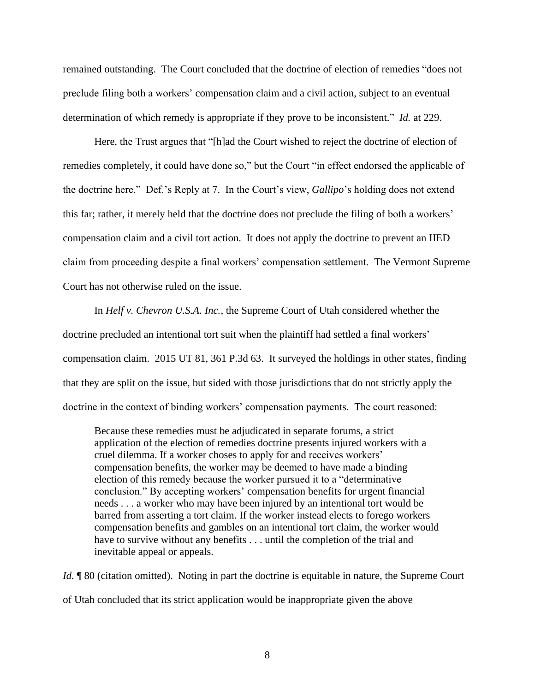remained outstanding. The Court concluded that the doctrine of election of remedies "does not preclude filing both a workers' compensation claim and a civil action, subject to an eventual determination of which remedy is appropriate if they prove to be inconsistent." *Id.* at 229.

Here, the Trust argues that "[h]ad the Court wished to reject the doctrine of election of remedies completely, it could have done so," but the Court "in effect endorsed the applicable of the doctrine here." Def.'s Reply at 7. In the Court's view, *Gallipo*'s holding does not extend this far; rather, it merely held that the doctrine does not preclude the filing of both a workers' compensation claim and a civil tort action. It does not apply the doctrine to prevent an IIED claim from proceeding despite a final workers' compensation settlement. The Vermont Supreme Court has not otherwise ruled on the issue.

In *Helf v. Chevron U.S.A. Inc.*, the Supreme Court of Utah considered whether the doctrine precluded an intentional tort suit when the plaintiff had settled a final workers' compensation claim. 2015 UT 81, 361 P.3d 63. It surveyed the holdings in other states, finding that they are split on the issue, but sided with those jurisdictions that do not strictly apply the doctrine in the context of binding workers' compensation payments. The court reasoned:

Because these remedies must be adjudicated in separate forums, a strict application of the election of remedies doctrine presents injured workers with a cruel dilemma. If a worker choses to apply for and receives workers' compensation benefits, the worker may be deemed to have made a binding election of this remedy because the worker pursued it to a "determinative conclusion." By accepting workers' compensation benefits for urgent financial needs . . . a worker who may have been injured by an intentional tort would be barred from asserting a tort claim. If the worker instead elects to forego workers compensation benefits and gambles on an intentional tort claim, the worker would have to survive without any benefits . . . until the completion of the trial and inevitable appeal or appeals.

*Id.*  $\parallel$  80 (citation omitted). Noting in part the doctrine is equitable in nature, the Supreme Court of Utah concluded that its strict application would be inappropriate given the above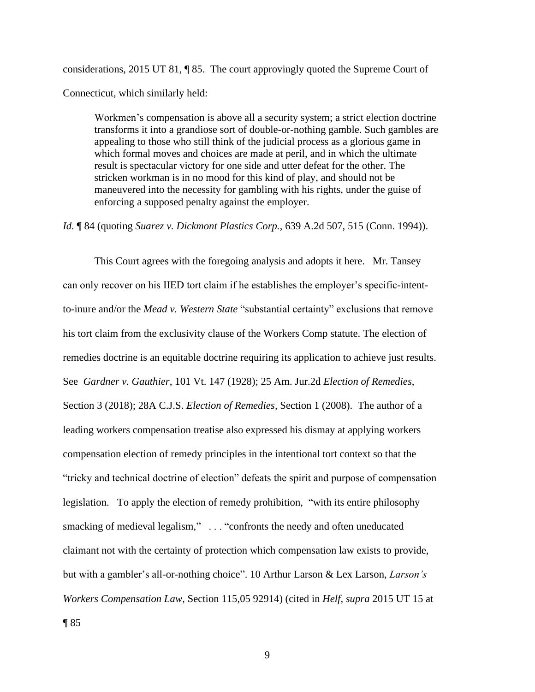considerations, 2015 UT 81, ¶ 85. The court approvingly quoted the Supreme Court of Connecticut, which similarly held:

Workmen's compensation is above all a security system; a strict election doctrine transforms it into a grandiose sort of double-or-nothing gamble. Such gambles are appealing to those who still think of the judicial process as a glorious game in which formal moves and choices are made at peril, and in which the ultimate result is spectacular victory for one side and utter defeat for the other. The stricken workman is in no mood for this kind of play, and should not be maneuvered into the necessity for gambling with his rights, under the guise of enforcing a supposed penalty against the employer.

*Id.* ¶ 84 (quoting *Suarez v. Dickmont Plastics Corp.*, 639 A.2d 507, 515 (Conn. 1994)).

This Court agrees with the foregoing analysis and adopts it here. Mr. Tansey can only recover on his IIED tort claim if he establishes the employer's specific-intentto-inure and/or the *Mead v. Western State* "substantial certainty" exclusions that remove his tort claim from the exclusivity clause of the Workers Comp statute. The election of remedies doctrine is an equitable doctrine requiring its application to achieve just results. See *Gardner v. Gauthier*, 101 Vt. 147 (1928); 25 Am. Jur.2d *Election of Remedies*, Section 3 (2018); 28A C.J.S. *Election of Remedies,* Section 1 (2008). The author of a leading workers compensation treatise also expressed his dismay at applying workers compensation election of remedy principles in the intentional tort context so that the "tricky and technical doctrine of election" defeats the spirit and purpose of compensation legislation. To apply the election of remedy prohibition, "with its entire philosophy smacking of medieval legalism," . . . "confronts the needy and often uneducated claimant not with the certainty of protection which compensation law exists to provide, but with a gambler's all-or-nothing choice". 10 Arthur Larson & Lex Larson, *Larson's Workers Compensation Law*, Section 115,05 92914) (cited in *Helf, supra* 2015 UT 15 at

 $\P$ 85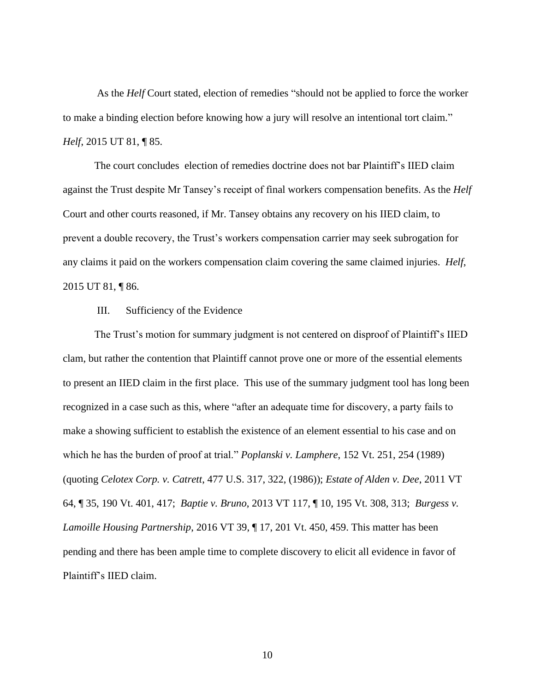As the *Helf* Court stated, election of remedies "should not be applied to force the worker to make a binding election before knowing how a jury will resolve an intentional tort claim." *Helf*, 2015 UT 81, ¶ 85.

The court concludes election of remedies doctrine does not bar Plaintiff's IIED claim against the Trust despite Mr Tansey's receipt of final workers compensation benefits. As the *Helf* Court and other courts reasoned, if Mr. Tansey obtains any recovery on his IIED claim, to prevent a double recovery, the Trust's workers compensation carrier may seek subrogation for any claims it paid on the workers compensation claim covering the same claimed injuries. *Helf*, 2015 UT 81, ¶ 86.

## III. Sufficiency of the Evidence

The Trust's motion for summary judgment is not centered on disproof of Plaintiff's IIED clam, but rather the contention that Plaintiff cannot prove one or more of the essential elements to present an IIED claim in the first place. This use of the summary judgment tool has long been recognized in a case such as this, where "after an adequate time for discovery, a party fails to make a showing sufficient to establish the existence of an element essential to his case and on which he has the burden of proof at trial." *Poplanski v. Lamphere*, 152 Vt. 251, 254 (1989) (quoting *Celotex Corp. v. Catrett*, 477 U.S. 317, 322, (1986)); *Estate of Alden v. Dee*, 2011 VT 64, ¶ 35, 190 Vt. 401, 417; *Baptie v. Bruno*, 2013 VT 117, ¶ 10, 195 Vt. 308, 313; *Burgess v. Lamoille Housing Partnership*, 2016 VT 39, ¶ 17, 201 Vt. 450, 459. This matter has been pending and there has been ample time to complete discovery to elicit all evidence in favor of Plaintiff's IIED claim.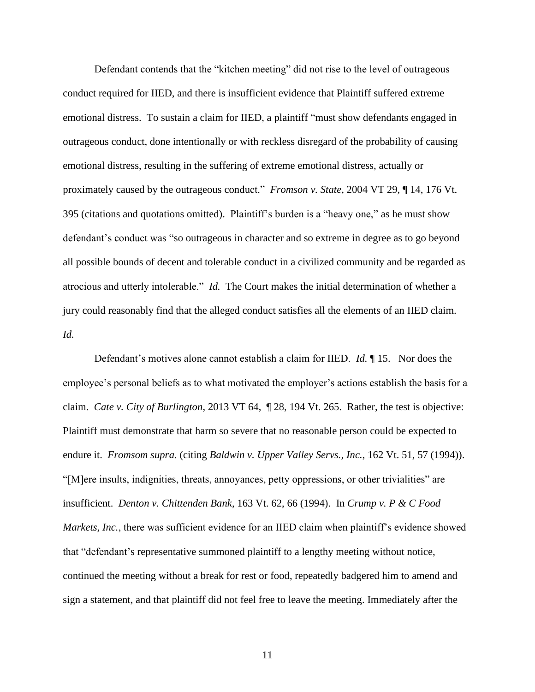Defendant contends that the "kitchen meeting" did not rise to the level of outrageous conduct required for IIED, and there is insufficient evidence that Plaintiff suffered extreme emotional distress. To sustain a claim for IIED, a plaintiff "must show defendants engaged in outrageous conduct, done intentionally or with reckless disregard of the probability of causing emotional distress, resulting in the suffering of extreme emotional distress, actually or proximately caused by the outrageous conduct." *Fromson v. State*, 2004 VT 29, ¶ 14, 176 Vt. 395 (citations and quotations omitted). Plaintiff's burden is a "heavy one," as he must show defendant's conduct was "so outrageous in character and so extreme in degree as to go beyond all possible bounds of decent and tolerable conduct in a civilized community and be regarded as atrocious and utterly intolerable." *Id.* The Court makes the initial determination of whether a jury could reasonably find that the alleged conduct satisfies all the elements of an IIED claim. *Id.*

Defendant's motives alone cannot establish a claim for IIED. *Id.* ¶ 15. Nor does the employee's personal beliefs as to what motivated the employer's actions establish the basis for a claim. *Cate v. City of Burlington*, 2013 VT 64, ¶ 28, 194 Vt. 265. Rather, the test is objective: Plaintiff must demonstrate that harm so severe that no reasonable person could be expected to endure it. *Fromsom supra.* (citing *Baldwin v. Upper Valley Servs., Inc.*, 162 Vt. 51, 57 (1994)). "[M]ere insults, indignities, threats, annoyances, petty oppressions, or other trivialities" are insufficient. *Denton v. Chittenden Bank*, 163 Vt. 62, 66 (1994). In *Crump v. P & C Food Markets, Inc.*, there was sufficient evidence for an IIED claim when plaintiff's evidence showed that "defendant's representative summoned plaintiff to a lengthy meeting without notice, continued the meeting without a break for rest or food, repeatedly badgered him to amend and sign a statement, and that plaintiff did not feel free to leave the meeting. Immediately after the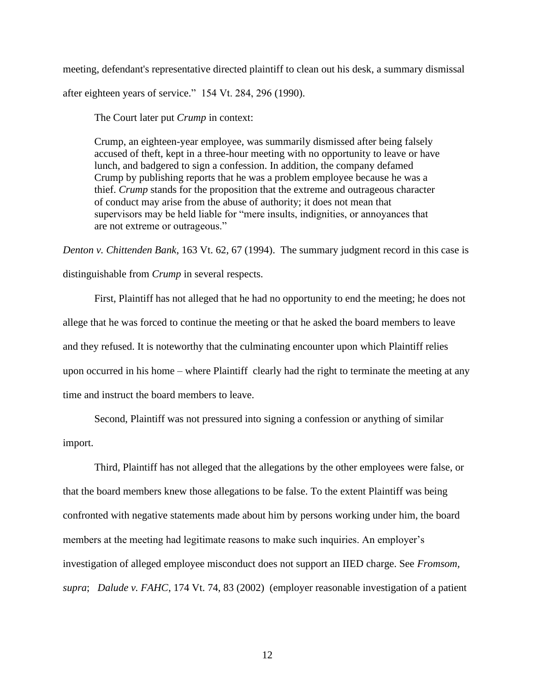meeting, defendant's representative directed plaintiff to clean out his desk, a summary dismissal after eighteen years of service." 154 Vt. 284, 296 (1990).

The Court later put *Crump* in context:

Crump, an eighteen-year employee, was summarily dismissed after being falsely accused of theft, kept in a three-hour meeting with no opportunity to leave or have lunch, and badgered to sign a confession. In addition, the company defamed Crump by publishing reports that he was a problem employee because he was a thief. *Crump* stands for the proposition that the extreme and outrageous character of conduct may arise from the abuse of authority; it does not mean that supervisors may be held liable for "mere insults, indignities, or annoyances that are not extreme or outrageous."

*Denton v. Chittenden Bank*, 163 Vt. 62, 67 (1994). The summary judgment record in this case is distinguishable from *Crump* in several respects.

First, Plaintiff has not alleged that he had no opportunity to end the meeting; he does not allege that he was forced to continue the meeting or that he asked the board members to leave and they refused. It is noteworthy that the culminating encounter upon which Plaintiff relies upon occurred in his home – where Plaintiff clearly had the right to terminate the meeting at any time and instruct the board members to leave.

Second, Plaintiff was not pressured into signing a confession or anything of similar import.

Third, Plaintiff has not alleged that the allegations by the other employees were false, or that the board members knew those allegations to be false. To the extent Plaintiff was being confronted with negative statements made about him by persons working under him, the board members at the meeting had legitimate reasons to make such inquiries. An employer's investigation of alleged employee misconduct does not support an IIED charge. See *Fromsom, supra*; *Dalude v. FAHC*, 174 Vt. 74, 83 (2002) (employer reasonable investigation of a patient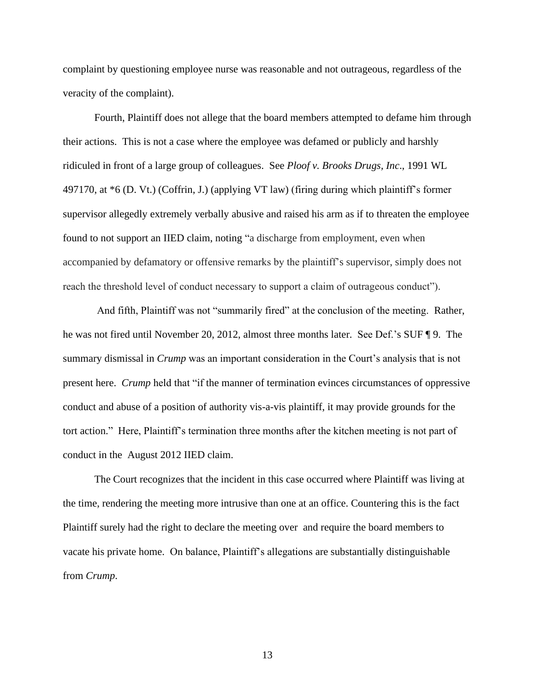complaint by questioning employee nurse was reasonable and not outrageous, regardless of the veracity of the complaint).

Fourth, Plaintiff does not allege that the board members attempted to defame him through their actions. This is not a case where the employee was defamed or publicly and harshly ridiculed in front of a large group of colleagues. See *Ploof v. Brooks Drugs, Inc*., 1991 WL 497170, at \*6 (D. Vt.) (Coffrin, J.) (applying VT law) (firing during which plaintiff's former supervisor allegedly extremely verbally abusive and raised his arm as if to threaten the employee found to not support an IIED claim, noting "a discharge from employment, even when accompanied by defamatory or offensive remarks by the plaintiff's supervisor, simply does not reach the threshold level of conduct necessary to support a claim of outrageous conduct").

And fifth, Plaintiff was not "summarily fired" at the conclusion of the meeting. Rather, he was not fired until November 20, 2012, almost three months later. See Def.'s SUF ¶ 9. The summary dismissal in *Crump* was an important consideration in the Court's analysis that is not present here. *Crump* held that "if the manner of termination evinces circumstances of oppressive conduct and abuse of a position of authority vis-a-vis plaintiff, it may provide grounds for the tort action." Here, Plaintiff's termination three months after the kitchen meeting is not part of conduct in the August 2012 IIED claim.

The Court recognizes that the incident in this case occurred where Plaintiff was living at the time, rendering the meeting more intrusive than one at an office. Countering this is the fact Plaintiff surely had the right to declare the meeting over and require the board members to vacate his private home. On balance, Plaintiff's allegations are substantially distinguishable from *Crump*.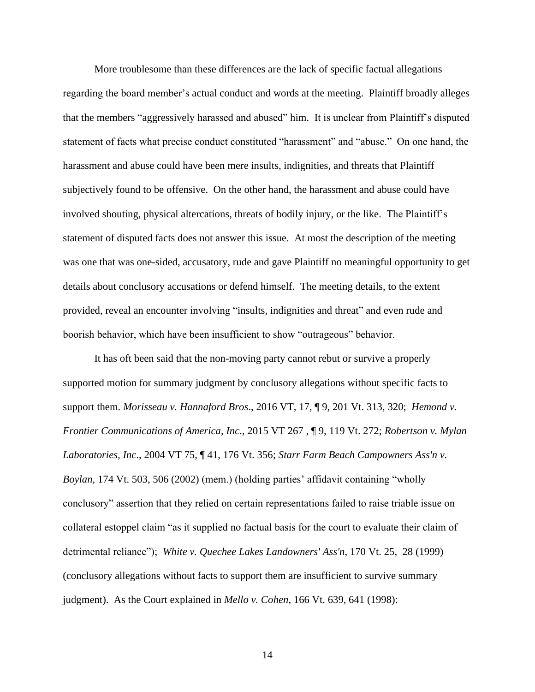More troublesome than these differences are the lack of specific factual allegations regarding the board member's actual conduct and words at the meeting. Plaintiff broadly alleges that the members "aggressively harassed and abused" him. It is unclear from Plaintiff's disputed statement of facts what precise conduct constituted "harassment" and "abuse." On one hand, the harassment and abuse could have been mere insults, indignities, and threats that Plaintiff subjectively found to be offensive. On the other hand, the harassment and abuse could have involved shouting, physical altercations, threats of bodily injury, or the like. The Plaintiff's statement of disputed facts does not answer this issue. At most the description of the meeting was one that was one-sided, accusatory, rude and gave Plaintiff no meaningful opportunity to get details about conclusory accusations or defend himself. The meeting details, to the extent provided, reveal an encounter involving "insults, indignities and threat" and even rude and boorish behavior, which have been insufficient to show "outrageous" behavior.

It has oft been said that the non-moving party cannot rebut or survive a properly supported motion for summary judgment by conclusory allegations without specific facts to support them. *Morisseau v. Hannaford Bros*., 2016 VT, 17, ¶ 9, 201 Vt. 313, 320; *Hemond v. Frontier Communications of America, Inc*., 2015 VT 267 , ¶ 9, 119 Vt. 272; *Robertson v. Mylan Laboratories, Inc*., 2004 VT 75, ¶ 41, 176 Vt. 356; *Starr Farm Beach Campowners Ass'n v. Boylan,* 174 Vt. 503, 506 (2002) (mem.) (holding parties' affidavit containing "wholly conclusory" assertion that they relied on certain representations failed to raise triable issue on collateral estoppel claim "as it supplied no factual basis for the court to evaluate their claim of detrimental reliance"); *White v. Quechee Lakes Landowners' Ass'n*, 170 Vt. 25, 28 (1999) (conclusory allegations without facts to support them are insufficient to survive summary judgment). As the Court explained in *Mello v. Cohen*, 166 Vt. 639, 641 (1998):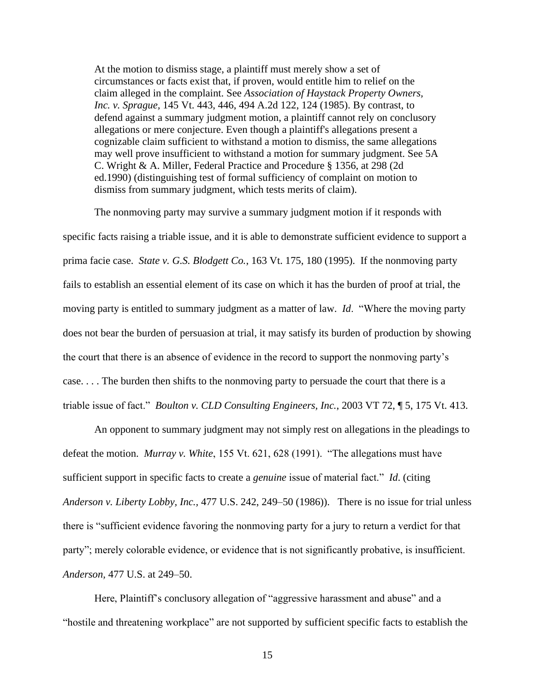At the motion to dismiss stage, a plaintiff must merely show a set of circumstances or facts exist that, if proven, would entitle him to relief on the claim alleged in the complaint. See *[Association of Haystack Property Owners,](https://1.next.westlaw.com/Link/Document/FullText?findType=Y&serNum=1985130779&pubNum=0000162&originatingDoc=Ic390d0cb371c11d9abe5ec754599669c&refType=RP&fi=co_pp_sp_162_124&originationContext=document&transitionType=DocumentItem&contextData=(sc.Search)#co_pp_sp_162_124)  Inc. v. Sprague,* [145 Vt. 443, 446, 494 A.2d 122, 124 \(1985\).](https://1.next.westlaw.com/Link/Document/FullText?findType=Y&serNum=1985130779&pubNum=0000162&originatingDoc=Ic390d0cb371c11d9abe5ec754599669c&refType=RP&fi=co_pp_sp_162_124&originationContext=document&transitionType=DocumentItem&contextData=(sc.Search)#co_pp_sp_162_124) By contrast, to defend against a summary judgment motion, a plaintiff cannot rely on conclusory allegations or mere conjecture. Even though a plaintiff's allegations present a cognizable claim sufficient to withstand a motion to dismiss, the same allegations may well prove insufficient to withstand a motion for summary judgment. See [5A](https://1.next.westlaw.com/Link/Document/FullText?findType=Y&serNum=0299659696&pubNum=0102228&originatingDoc=Ic390d0cb371c11d9abe5ec754599669c&refType=TS&originationContext=document&transitionType=DocumentItem&contextData=(sc.Search))  [C. Wright & A. Miller, Federal Practice and Procedure § 1356, at 298 \(2d](https://1.next.westlaw.com/Link/Document/FullText?findType=Y&serNum=0299659696&pubNum=0102228&originatingDoc=Ic390d0cb371c11d9abe5ec754599669c&refType=TS&originationContext=document&transitionType=DocumentItem&contextData=(sc.Search))  [ed.1990\)](https://1.next.westlaw.com/Link/Document/FullText?findType=Y&serNum=0299659696&pubNum=0102228&originatingDoc=Ic390d0cb371c11d9abe5ec754599669c&refType=TS&originationContext=document&transitionType=DocumentItem&contextData=(sc.Search)) (distinguishing test of formal sufficiency of complaint on motion to dismiss from summary judgment, which tests merits of claim).

The nonmoving party may survive a summary judgment motion if it responds with specific facts raising a triable issue, and it is able to demonstrate sufficient evidence to support a prima facie case. *State v. G.S. Blodgett Co.*, 163 Vt. 175, 180 (1995). If the nonmoving party fails to establish an essential element of its case on which it has the burden of proof at trial, the moving party is entitled to summary judgment as a matter of law. *Id*. "Where the moving party does not bear the burden of persuasion at trial, it may satisfy its burden of production by showing the court that there is an absence of evidence in the record to support the nonmoving party's case. . . . The burden then shifts to the nonmoving party to persuade the court that there is a triable issue of fact." *Boulton v. CLD Consulting Engineers, Inc.*, 2003 VT 72, ¶ 5, 175 Vt. 413.

An opponent to summary judgment may not simply rest on allegations in the pleadings to defeat the motion. *Murray v. White*, 155 Vt. 621, 628 (1991). "The allegations must have sufficient support in specific facts to create a *genuine* issue of material fact." *Id*. (citing *Anderson v. Liberty Lobby, Inc.,* 477 U.S. 242, 249–50 (1986)). There is no issue for trial unless there is "sufficient evidence favoring the nonmoving party for a jury to return a verdict for that party"; merely colorable evidence, or evidence that is not significantly probative, is insufficient. *Anderson,* 477 U.S. at 249–50.

Here, Plaintiff's conclusory allegation of "aggressive harassment and abuse" and a "hostile and threatening workplace" are not supported by sufficient specific facts to establish the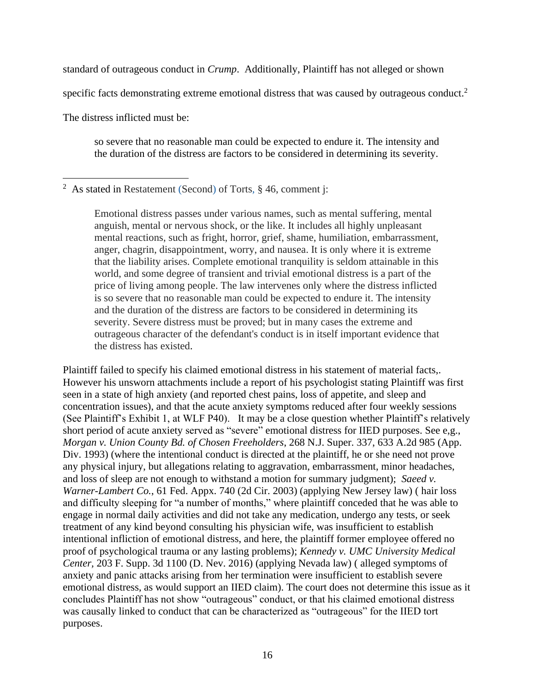standard of outrageous conduct in *Crump*. Additionally, Plaintiff has not alleged or shown

specific facts demonstrating extreme emotional distress that was caused by outrageous conduct.<sup>2</sup>

The distress inflicted must be:

so severe that no reasonable man could be expected to endure it. The intensity and the duration of the distress are factors to be considered in determining its severity.

<sup>2</sup> As stated in Restatement (Second) of Torts,  $\S$  46, comment j:

Emotional distress passes under various names, such as mental suffering, mental anguish, mental or nervous shock, or the like. It includes all highly unpleasant mental reactions, such as fright, horror, grief, shame, humiliation, embarrassment, anger, chagrin, disappointment, worry, and nausea. It is only where it is extreme that the liability arises. Complete emotional tranquility is seldom attainable in this world, and some degree of transient and trivial emotional distress is a part of the price of living among people. The law intervenes only where the distress inflicted is so severe that no reasonable man could be expected to endure it. The intensity and the duration of the distress are factors to be considered in determining its severity. Severe distress must be proved; but in many cases the extreme and outrageous character of the defendant's conduct is in itself important evidence that the distress has existed.

Plaintiff failed to specify his claimed emotional distress in his statement of material facts,. However his unsworn attachments include a report of his psychologist stating Plaintiff was first seen in a state of high anxiety (and reported chest pains, loss of appetite, and sleep and concentration issues), and that the acute anxiety symptoms reduced after four weekly sessions (See Plaintiff's Exhibit 1, at WLF P40). It may be a close question whether Plaintiff's relatively short period of acute anxiety served as "severe" emotional distress for IIED purposes. See e,g., *Morgan v. Union County Bd. of Chosen Freeholders*, 268 N.J. Super. 337, 633 A.2d 985 (App. Div. 1993) (where the intentional conduct is directed at the plaintiff, he or she need not prove any physical injury, but allegations relating to aggravation, embarrassment, minor headaches, and loss of sleep are not enough to withstand a motion for summary judgment); *[Saeed v.](https://1.next.westlaw.com/Link/Document/FullText?findType=Y&serNum=2003237238&pubNum=0006538&originatingDoc=I546f44a3214111da9c66988803e8b204&refType=RP&originationContext=document&transitionType=DocumentItem&contextData=(sc.Keycite))  Warner-Lambert Co.*[, 61 Fed. Appx. 740 \(2d Cir. 2003\) \(applying New Jersey law\)](https://1.next.westlaw.com/Link/Document/FullText?findType=Y&serNum=2003237238&pubNum=0006538&originatingDoc=I546f44a3214111da9c66988803e8b204&refType=RP&originationContext=document&transitionType=DocumentItem&contextData=(sc.Keycite)) ( hair loss and difficulty sleeping for "a number of months," where plaintiff conceded that he was able to engage in normal daily activities and did not take any medication, undergo any tests, or seek treatment of any kind beyond consulting his physician wife, was insufficient to establish intentional infliction of emotional distress, and here, the plaintiff former employee offered no proof of psychological trauma or any lasting problems); *Kennedy v. UMC University Medical Center,* 203 F. Supp. 3d 1100 (D. Nev. 2016) (applying Nevada law) ( alleged symptoms of anxiety and panic attacks arising from her termination were insufficient to establish severe emotional distress, as would support an IIED claim). The court does not determine this issue as it concludes Plaintiff has not show "outrageous" conduct, or that his claimed emotional distress was causally linked to conduct that can be characterized as "outrageous" for the IIED tort purposes.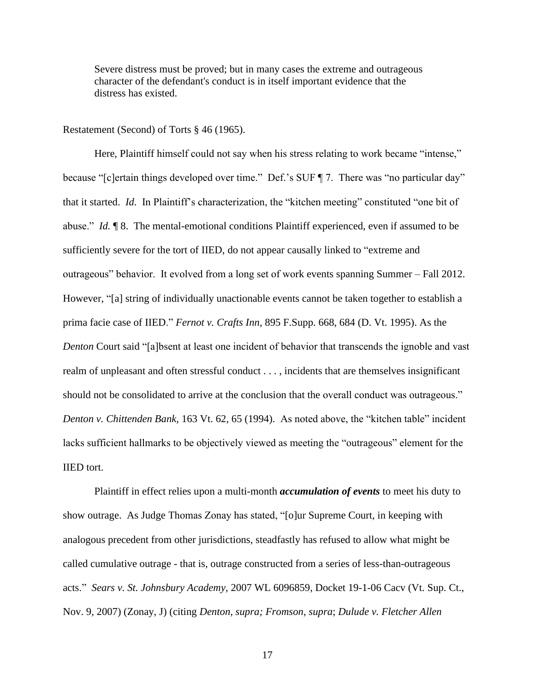Severe distress must be proved; but in many cases the extreme and outrageous character of the defendant's conduct is in itself important evidence that the distress has existed.

Restatement (Second) of Torts § 46 (1965).

Here, Plaintiff himself could not say when his stress relating to work became "intense," because "[c]ertain things developed over time." Def.'s SUF ¶ 7. There was "no particular day" that it started. *Id.* In Plaintiff's characterization, the "kitchen meeting" constituted "one bit of abuse." *Id.* ¶ 8. The mental-emotional conditions Plaintiff experienced, even if assumed to be sufficiently severe for the tort of IIED, do not appear causally linked to "extreme and outrageous" behavior. It evolved from a long set of work events spanning Summer – Fall 2012. However, "[a] string of individually unactionable events cannot be taken together to establish a prima facie case of IIED." *Fernot v. Crafts Inn*, 895 F.Supp. 668, 684 (D. Vt. 1995). As the *Denton* Court said "[a]bsent at least one incident of behavior that transcends the ignoble and vast realm of unpleasant and often stressful conduct . . . , incidents that are themselves insignificant should not be consolidated to arrive at the conclusion that the overall conduct was outrageous." *Denton v. Chittenden Bank,* 163 Vt. 62, 65 (1994). As noted above, the "kitchen table" incident lacks sufficient hallmarks to be objectively viewed as meeting the "outrageous" element for the IIED tort.

Plaintiff in effect relies upon a multi-month *accumulation of events* to meet his duty to show outrage. As Judge Thomas Zonay has stated, "[o]ur Supreme Court, in keeping with analogous precedent from other jurisdictions, steadfastly has refused to allow what might be called cumulative outrage - that is, outrage constructed from a series of less-than-outrageous acts." *Sears v. St. Johnsbury Academy*, 2007 WL 6096859, Docket 19-1-06 Cacv (Vt. Sup. Ct., Nov. 9, 2007) (Zonay, J) (citing *Denton, supra; Fromson*, *supra*; *Dulude v. Fletcher Allen*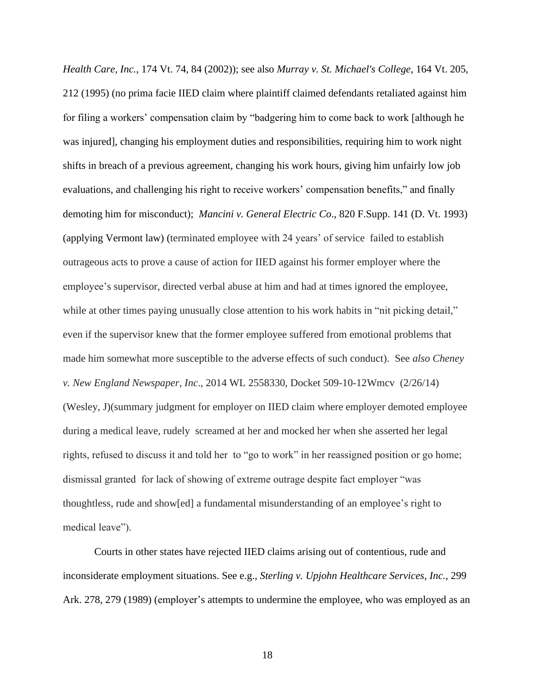*Health Care, Inc.*, 174 Vt. 74, 84 (2002)); see also *Murray v. St. Michael's College*, 164 Vt. 205, 212 (1995) (no prima facie IIED claim where plaintiff claimed defendants retaliated against him for filing a workers' compensation claim by "badgering him to come back to work [although he was injured], changing his employment duties and responsibilities, requiring him to work night shifts in breach of a previous agreement, changing his work hours, giving him unfairly low job evaluations, and challenging his right to receive workers' compensation benefits," and finally demoting him for misconduct); *Mancini v. General Electric Co*., 820 F.Supp. 141 (D. Vt. 1993) (applying Vermont law) (terminated employee with 24 years' of service failed to establish outrageous acts to prove a cause of action for IIED against his former employer where the employee's supervisor, directed verbal abuse at him and had at times ignored the employee, while at other times paying unusually close attention to his work habits in "nit picking detail," even if the supervisor knew that the former employee suffered from emotional problems that made him somewhat more susceptible to the adverse effects of such conduct). See *also Cheney v. New England Newspaper, Inc*., 2014 WL 2558330, Docket 509-10-12Wmcv (2/26/14) (Wesley, J)(summary judgment for employer on IIED claim where employer demoted employee during a medical leave, rudely screamed at her and mocked her when she asserted her legal rights, refused to discuss it and told her to "go to work" in her reassigned position or go home; dismissal granted for lack of showing of extreme outrage despite fact employer "was thoughtless, rude and show[ed] a fundamental misunderstanding of an employee's right to medical leave").

Courts in other states have rejected IIED claims arising out of contentious, rude and inconsiderate employment situations. See e.g., *Sterling v. Upjohn Healthcare Services, Inc.*, 299 Ark. 278, 279 (1989) (employer's attempts to undermine the employee, who was employed as an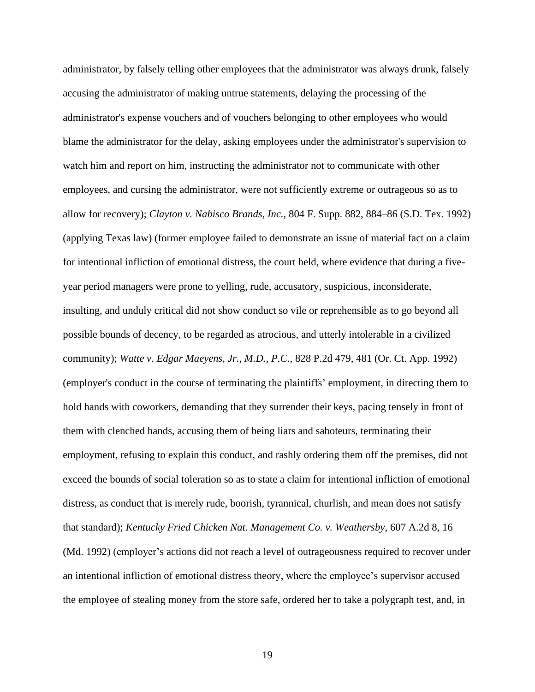administrator, by falsely telling other employees that the administrator was always drunk, falsely accusing the administrator of making untrue statements, delaying the processing of the administrator's expense vouchers and of vouchers belonging to other employees who would blame the administrator for the delay, asking employees under the administrator's supervision to watch him and report on him, instructing the administrator not to communicate with other employees, and cursing the administrator, were not sufficiently extreme or outrageous so as to allow for recovery); *Clayton v. Nabisco Brands, Inc.,* 804 F. Supp. 882, 884–86 (S.D. Tex. 1992) (applying Texas law) (former employee failed to demonstrate an issue of material fact on a claim for intentional infliction of emotional distress, the court held, where evidence that during a fiveyear period managers were prone to yelling, rude, accusatory, suspicious, inconsiderate, insulting, and unduly critical did not show conduct so vile or reprehensible as to go beyond all possible bounds of decency, to be regarded as atrocious, and utterly intolerable in a civilized community); *Watte v. Edgar Maeyens, Jr., M.D., P.C*., 828 P.2d 479, 481 (Or. Ct. App. 1992) (employer's conduct in the course of terminating the plaintiffs' employment, in directing them to hold hands with coworkers, demanding that they surrender their keys, pacing tensely in front of them with clenched hands, accusing them of being liars and saboteurs, terminating their employment, refusing to explain this conduct, and rashly ordering them off the premises, did not exceed the bounds of social toleration so as to state a claim for intentional infliction of emotional distress, as conduct that is merely rude, boorish, tyrannical, churlish, and mean does not satisfy that standard); *Kentucky Fried Chicken Nat. Management Co. v. Weathersby*, 607 A.2d 8, 16 (Md. 1992) (employer's actions did not reach a level of outrageousness required to recover under an intentional infliction of emotional distress theory, where the employee's supervisor accused the employee of stealing money from the store safe, ordered her to take a polygraph test, and, in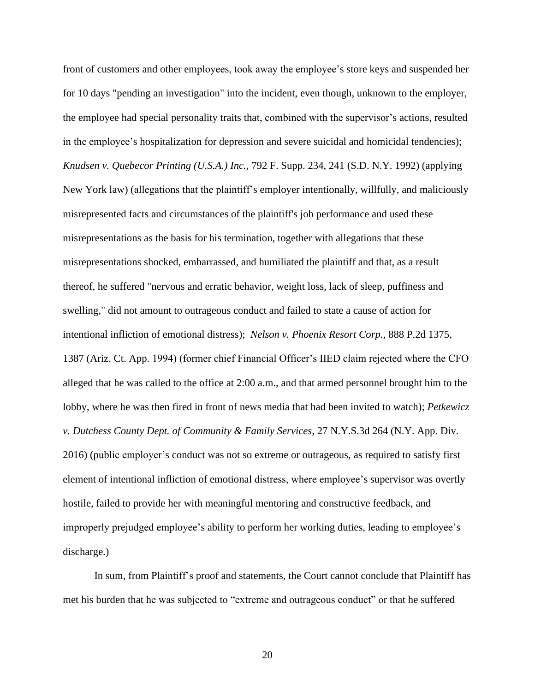front of customers and other employees, took away the employee's store keys and suspended her for 10 days "pending an investigation" into the incident, even though, unknown to the employer, the employee had special personality traits that, combined with the supervisor's actions, resulted in the employee's hospitalization for depression and severe suicidal and homicidal tendencies); *Knudsen v. Quebecor Printing (U.S.A.) Inc.*, 792 F. Supp. 234, 241 (S.D. N.Y. 1992) (applying New York law) (allegations that the plaintiff's employer intentionally, willfully, and maliciously misrepresented facts and circumstances of the plaintiff's job performance and used these misrepresentations as the basis for his termination, together with allegations that these misrepresentations shocked, embarrassed, and humiliated the plaintiff and that, as a result thereof, he suffered "nervous and erratic behavior, weight loss, lack of sleep, puffiness and swelling," did not amount to outrageous conduct and failed to state a cause of action for intentional infliction of emotional distress); *Nelson v. Phoenix Resort Corp.*, 888 P.2d 1375, 1387 (Ariz. Ct. App. 1994) (former chief Financial Officer's IIED claim rejected where the CFO alleged that he was called to the office at 2:00 a.m., and that armed personnel brought him to the lobby, where he was then fired in front of news media that had been invited to watch); *Petkewicz v. Dutchess County Dept. of Community & Family Services*, 27 N.Y.S.3d 264 (N.Y. App. Div. 2016) (public employer's conduct was not so extreme or outrageous, as required to satisfy first element of intentional infliction of emotional distress, where employee's supervisor was overtly hostile, failed to provide her with meaningful mentoring and constructive feedback, and improperly prejudged employee's ability to perform her working duties, leading to employee's discharge.)

In sum, from Plaintiff's proof and statements, the Court cannot conclude that Plaintiff has met his burden that he was subjected to "extreme and outrageous conduct" or that he suffered